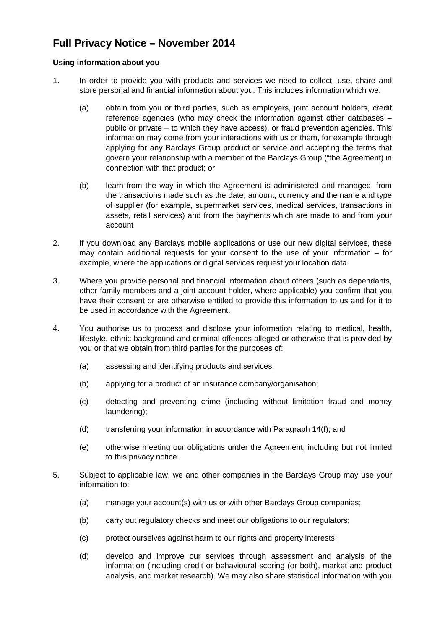## **Full Privacy Notice – November 2014**

## **Using information about you**

- 1. In order to provide you with products and services we need to collect, use, share and store personal and financial information about you. This includes information which we:
	- (a) obtain from you or third parties, such as employers, joint account holders, credit reference agencies (who may check the information against other databases – public or private – to which they have access), or fraud prevention agencies. This information may come from your interactions with us or them, for example through applying for any Barclays Group product or service and accepting the terms that govern your relationship with a member of the Barclays Group ("the Agreement) in connection with that product; or
	- (b) learn from the way in which the Agreement is administered and managed, from the transactions made such as the date, amount, currency and the name and type of supplier (for example, supermarket services, medical services, transactions in assets, retail services) and from the payments which are made to and from your account
- 2. If you download any Barclays mobile applications or use our new digital services, these may contain additional requests for your consent to the use of your information – for example, where the applications or digital services request your location data.
- 3. Where you provide personal and financial information about others (such as dependants, other family members and a joint account holder, where applicable) you confirm that you have their consent or are otherwise entitled to provide this information to us and for it to be used in accordance with the Agreement.
- 4. You authorise us to process and disclose your information relating to medical, health, lifestyle, ethnic background and criminal offences alleged or otherwise that is provided by you or that we obtain from third parties for the purposes of:
	- (a) assessing and identifying products and services;
	- (b) applying for a product of an insurance company/organisation;
	- (c) detecting and preventing crime (including without limitation fraud and money laundering);
	- (d) transferring your information in accordance with Paragraph 14(f); and
	- (e) otherwise meeting our obligations under the Agreement, including but not limited to this privacy notice.
- 5. Subject to applicable law, we and other companies in the Barclays Group may use your information to:
	- (a) manage your account(s) with us or with other Barclays Group companies;
	- (b) carry out regulatory checks and meet our obligations to our regulators;
	- (c) protect ourselves against harm to our rights and property interests;
	- (d) develop and improve our services through assessment and analysis of the information (including credit or behavioural scoring (or both), market and product analysis, and market research). We may also share statistical information with you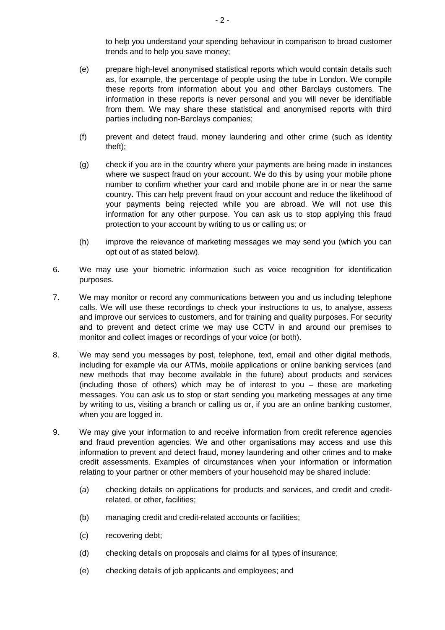to help you understand your spending behaviour in comparison to broad customer trends and to help you save money;

- (e) prepare high-level anonymised statistical reports which would contain details such as, for example, the percentage of people using the tube in London. We compile these reports from information about you and other Barclays customers. The information in these reports is never personal and you will never be identifiable from them. We may share these statistical and anonymised reports with third parties including non-Barclays companies;
- (f) prevent and detect fraud, money laundering and other crime (such as identity theft);
- (g) check if you are in the country where your payments are being made in instances where we suspect fraud on your account. We do this by using your mobile phone number to confirm whether your card and mobile phone are in or near the same country. This can help prevent fraud on your account and reduce the likelihood of your payments being rejected while you are abroad. We will not use this information for any other purpose. You can ask us to stop applying this fraud protection to your account by writing to us or calling us; or
- (h) improve the relevance of marketing messages we may send you (which you can opt out of as stated below).
- 6. We may use your biometric information such as voice recognition for identification purposes.
- 7. We may monitor or record any communications between you and us including telephone calls. We will use these recordings to check your instructions to us, to analyse, assess and improve our services to customers, and for training and quality purposes. For security and to prevent and detect crime we may use CCTV in and around our premises to monitor and collect images or recordings of your voice (or both).
- 8. We may send you messages by post, telephone, text, email and other digital methods, including for example via our ATMs, mobile applications or online banking services (and new methods that may become available in the future) about products and services (including those of others) which may be of interest to you – these are marketing messages. You can ask us to stop or start sending you marketing messages at any time by writing to us, visiting a branch or calling us or, if you are an online banking customer, when you are logged in.
- 9. We may give your information to and receive information from credit reference agencies and fraud prevention agencies. We and other organisations may access and use this information to prevent and detect fraud, money laundering and other crimes and to make credit assessments. Examples of circumstances when your information or information relating to your partner or other members of your household may be shared include:
	- (a) checking details on applications for products and services, and credit and creditrelated, or other, facilities;
	- (b) managing credit and credit-related accounts or facilities;
	- (c) recovering debt;
	- (d) checking details on proposals and claims for all types of insurance;
	- (e) checking details of job applicants and employees; and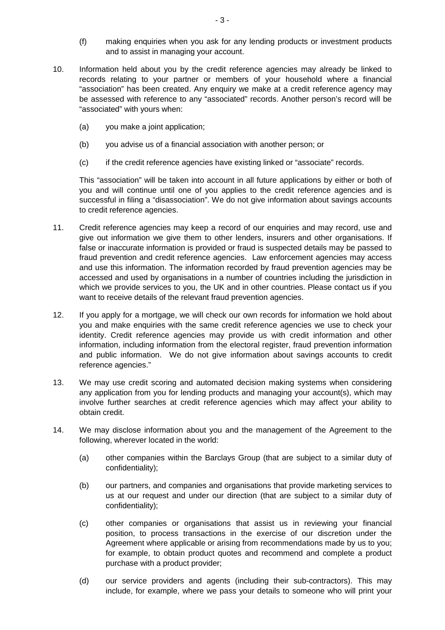- (f) making enquiries when you ask for any lending products or investment products and to assist in managing your account.
- 10. Information held about you by the credit reference agencies may already be linked to records relating to your partner or members of your household where a financial "association" has been created. Any enquiry we make at a credit reference agency may be assessed with reference to any "associated" records. Another person's record will be "associated" with yours when:
	- (a) you make a joint application;
	- (b) you advise us of a financial association with another person; or
	- (c) if the credit reference agencies have existing linked or "associate" records.

This "association" will be taken into account in all future applications by either or both of you and will continue until one of you applies to the credit reference agencies and is successful in filing a "disassociation". We do not give information about savings accounts to credit reference agencies.

- 11. Credit reference agencies may keep a record of our enquiries and may record, use and give out information we give them to other lenders, insurers and other organisations. If false or inaccurate information is provided or fraud is suspected details may be passed to fraud prevention and credit reference agencies. Law enforcement agencies may access and use this information. The information recorded by fraud prevention agencies may be accessed and used by organisations in a number of countries including the jurisdiction in which we provide services to you, the UK and in other countries. Please contact us if you want to receive details of the relevant fraud prevention agencies.
- 12. If you apply for a mortgage, we will check our own records for information we hold about you and make enquiries with the same credit reference agencies we use to check your identity. Credit reference agencies may provide us with credit information and other information, including information from the electoral register, fraud prevention information and public information. We do not give information about savings accounts to credit reference agencies."
- 13. We may use credit scoring and automated decision making systems when considering any application from you for lending products and managing your account(s), which may involve further searches at credit reference agencies which may affect your ability to obtain credit.
- 14. We may disclose information about you and the management of the Agreement to the following, wherever located in the world:
	- (a) other companies within the Barclays Group (that are subject to a similar duty of confidentiality);
	- (b) our partners, and companies and organisations that provide marketing services to us at our request and under our direction (that are subject to a similar duty of confidentiality);
	- (c) other companies or organisations that assist us in reviewing your financial position, to process transactions in the exercise of our discretion under the Agreement where applicable or arising from recommendations made by us to you; for example, to obtain product quotes and recommend and complete a product purchase with a product provider;
	- (d) our service providers and agents (including their sub-contractors). This may include, for example, where we pass your details to someone who will print your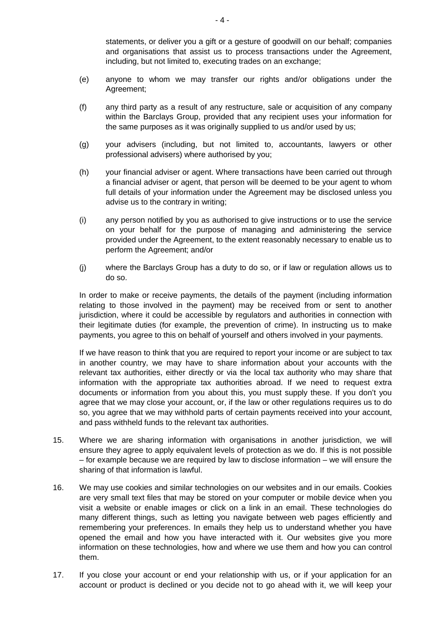statements, or deliver you a gift or a gesture of goodwill on our behalf; companies and organisations that assist us to process transactions under the Agreement, including, but not limited to, executing trades on an exchange;

- (e) anyone to whom we may transfer our rights and/or obligations under the Agreement;
- (f) any third party as a result of any restructure, sale or acquisition of any company within the Barclays Group, provided that any recipient uses your information for the same purposes as it was originally supplied to us and/or used by us;
- (g) your advisers (including, but not limited to, accountants, lawyers or other professional advisers) where authorised by you;
- (h) your financial adviser or agent. Where transactions have been carried out through a financial adviser or agent, that person will be deemed to be your agent to whom full details of your information under the Agreement may be disclosed unless you advise us to the contrary in writing;
- (i) any person notified by you as authorised to give instructions or to use the service on your behalf for the purpose of managing and administering the service provided under the Agreement, to the extent reasonably necessary to enable us to perform the Agreement; and/or
- (j) where the Barclays Group has a duty to do so, or if law or regulation allows us to do so.

In order to make or receive payments, the details of the payment (including information relating to those involved in the payment) may be received from or sent to another jurisdiction, where it could be accessible by regulators and authorities in connection with their legitimate duties (for example, the prevention of crime). In instructing us to make payments, you agree to this on behalf of yourself and others involved in your payments.

If we have reason to think that you are required to report your income or are subject to tax in another country, we may have to share information about your accounts with the relevant tax authorities, either directly or via the local tax authority who may share that information with the appropriate tax authorities abroad. If we need to request extra documents or information from you about this, you must supply these. If you don't you agree that we may close your account, or, if the law or other regulations requires us to do so, you agree that we may withhold parts of certain payments received into your account, and pass withheld funds to the relevant tax authorities.

- 15. Where we are sharing information with organisations in another jurisdiction, we will ensure they agree to apply equivalent levels of protection as we do. If this is not possible – for example because we are required by law to disclose information – we will ensure the sharing of that information is lawful.
- 16. We may use cookies and similar technologies on our websites and in our emails. Cookies are very small text files that may be stored on your computer or mobile device when you visit a website or enable images or click on a link in an email. These technologies do many different things, such as letting you navigate between web pages efficiently and remembering your preferences. In emails they help us to understand whether you have opened the email and how you have interacted with it. Our websites give you more information on these technologies, how and where we use them and how you can control them.
- 17. If you close your account or end your relationship with us, or if your application for an account or product is declined or you decide not to go ahead with it, we will keep your